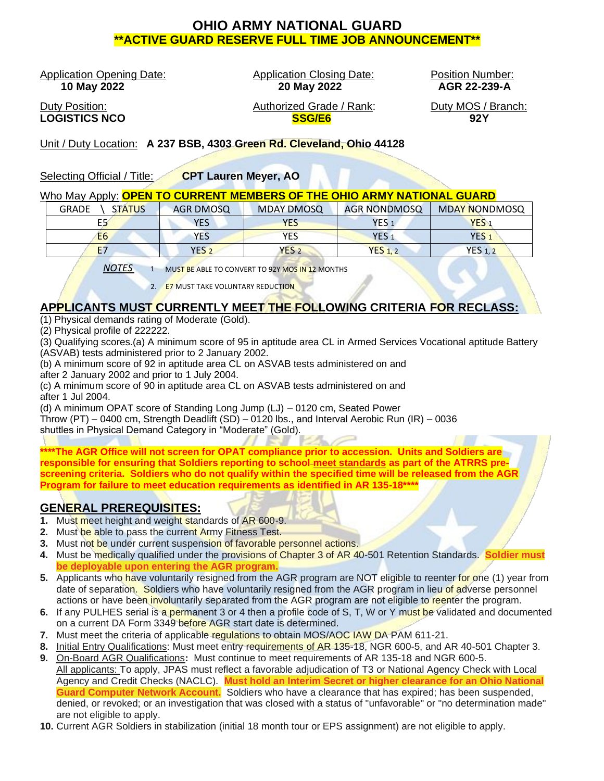# **OHIO ARMY NATIONAL GUARD \*\*ACTIVE GUARD RESERVE FULL TIME JOB ANNOUNCEMENT\*\***

Application Opening Date: Application Closing Date: Position Number:

 **10 May 2022 20 May 2022 AGR 22-239-A**

Duty Position: Authorized Grade / Rank: Duty MOS / Branch: **LOGISTICS NCO SSG/E6 92Y**

Unit / Duty Location: **A 237 BSB, 4303 Green Rd. Cleveland, Ohio 44128**

Selecting Official / Title: **CPT Lauren Meyer, AO**

#### Who May Apply: **OPEN TO CURRENT MEMBERS OF THE OHIO ARMY NATIONAL GUARD**

| <b>GRADE</b><br><b>STATUS</b> | AGR DMOSQ        | <b>MDAY DMOSQ</b> | <b>AGR NONDMOSQ</b>  | <b>MDAY NONDMOSQ</b> |
|-------------------------------|------------------|-------------------|----------------------|----------------------|
| E5                            | <b>YES</b>       | <b>YES</b>        | YES :                | YES.                 |
| E <sub>6</sub>                | YES              | YES               | YES :                | YES:                 |
| E7                            | YES <sub>2</sub> | YES <sub>2</sub>  | $YES$ <sub>1,2</sub> | <b>YES 1, 2</b>      |

*NOTES* 1 MUST BE ABLE TO CONVERT TO 92Y MOS IN 12 MONTHS

2. E7 MUST TAKE VOLUNTARY REDUCTION

# **APPLICANTS MUST CURRENTLY MEET THE FOLLOWING CRITERIA FOR RECLASS:**

(1) Physical demands rating of Moderate (Gold).

(2) Physical profile of 222222.

(3) Qualifying scores.(a) A minimum score of 95 in aptitude area CL in Armed Services Vocational aptitude Battery (ASVAB) tests administered prior to 2 January 2002.

(b) A minimum score of 92 in aptitude area CL on ASVAB tests administered on and after 2 January 2002 and prior to 1 July 2004.

(c) A minimum score of 90 in aptitude area CL on ASVAB tests administered on and after 1 Jul 2004.

(d) A minimum OPAT score of Standing Long Jump (LJ) – 0120 cm, Seated Power

Throw (PT) – 0400 cm, Strength Deadlift (SD) – 0120 lbs., and Interval Aerobic Run (IR) – 0036

shuttles in Physical Demand Category in "Moderate" (Gold).

**\*\*\*\*The AGR Office will not screen for OPAT compliance prior to accession. Units and Soldiers are responsible for ensuring that Soldiers reporting to school meet standards as part of the ATRRS prescreening criteria. Soldiers who do not qualify within the specified time will be released from the AGR Program for failure to meet education requirements as identified in AR 135-18\*\*\*\***

## **GENERAL PREREQUISITES:**

- **1.** Must meet height and weight standards of AR 600-9.
- **2.** Must be able to pass the current Army Fitness Test.
- **3.** Must not be under current suspension of favorable personnel actions.
- **4.** Must be medically qualified under the provisions of Chapter 3 of AR 40-501 Retention Standards. **Soldier must be deployable upon entering the AGR program.**
- **5.** Applicants who have voluntarily resigned from the AGR program are NOT eligible to reenter for one (1) year from date of separation. Soldiers who have voluntarily resigned from the AGR program in lieu of adverse personnel actions or have been involuntarily separated from the AGR program are not eligible to reenter the program.
- **6.** If any PULHES serial is a permanent 3 or 4 then a profile code of S, T, W or Y must be validated and documented on a current DA Form 3349 before AGR start date is determined.
- **7.** Must meet the criteria of applicable regulations to obtain MOS/AOC IAW DA PAM 611-21.
- **8.** Initial Entry Qualifications: Must meet entry requirements of AR 135-18, NGR 600-5, and AR 40-501 Chapter 3.
- **9.** On-Board AGR Qualifications**:** Must continue to meet requirements of AR 135-18 and NGR 600-5. All applicants: To apply, JPAS must reflect a favorable adjudication of T3 or National Agency Check with Local Agency and Credit Checks (NACLC). **Must hold an Interim Secret or higher clearance for an Ohio National Guard Computer Network Account.** Soldiers who have a clearance that has expired; has been suspended, denied, or revoked; or an investigation that was closed with a status of "unfavorable" or "no determination made" are not eligible to apply.
- **10.** Current AGR Soldiers in stabilization (initial 18 month tour or EPS assignment) are not eligible to apply.